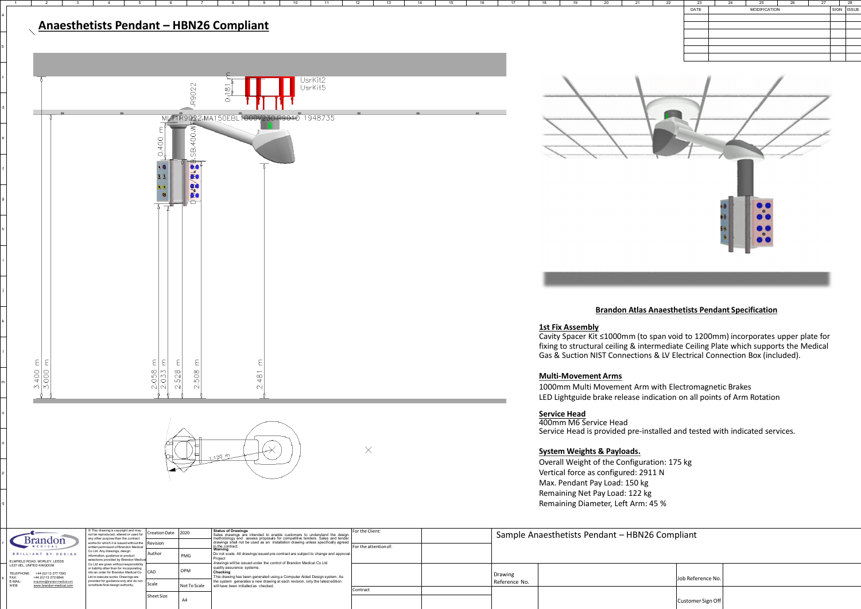a

b

c

d

e

f

g

h

i

j

k

l

m

n

o

p

q

r

|                                                                                                                                                                                                              | © This drawing is copyright and may<br>not be reproduced, altered or used for                                            | <b>Creation Date</b> | 2020         | <b>Status of Drawings</b><br>Sales drawings are intended to enable customers to understand the design                                                                                                                                                                                                 | For the Client:       |  |
|--------------------------------------------------------------------------------------------------------------------------------------------------------------------------------------------------------------|--------------------------------------------------------------------------------------------------------------------------|----------------------|--------------|-------------------------------------------------------------------------------------------------------------------------------------------------------------------------------------------------------------------------------------------------------------------------------------------------------|-----------------------|--|
| <b>Brandon</b><br><b>MEDICAL</b>                                                                                                                                                                             | any other purpose than the contract<br>works for which it is issued without the<br>written permission of Brandon Medical | <b>Revision</b>      |              | methodology and assess proposals for competitive tenders. Sales and tender<br>drawings shall not be used as an installation drawing unless specifically agreed<br>in the contract.                                                                                                                    | For the attention of: |  |
| BRILLIANT BY DESIGN                                                                                                                                                                                          | Co Ltd. Any drawings, design<br>information, guidance or product                                                         | Author<br><b>PMG</b> |              | Warning<br>Do not scale. All drawings issued pre-contract are subject to change and approval.<br>Project<br>drawings will be issued under the control of Brandon Medical Co Ltd<br>quality assurance systems.<br>Checking<br>This drawing has been generated using a Computer Aided Design system. As |                       |  |
| ELMFIELD ROAD, MORLEY, LEEDS<br>LS27 0EL. UNITED KINGDOM<br>TELEPHONE:<br>+44 (0) 113 277 7393<br>FAX:<br>+44 (0)113 272 8844<br>E-MAIL:<br>enquiries@brandon-medical.com<br>WEB:<br>www.brandon-medical.com | selections provided by Brandon Medical<br>Co Ltd are given without responsibility                                        |                      |              |                                                                                                                                                                                                                                                                                                       |                       |  |
|                                                                                                                                                                                                              | or liability other than for incorporating<br>into an order for Brandon Medical Co<br>Ltd to execute works. Drawings are  | CAD                  | <b>OPM</b>   |                                                                                                                                                                                                                                                                                                       |                       |  |
|                                                                                                                                                                                                              | provided for guidance only and do not<br>constitute final design authority.                                              | Scale                | Not To Scale | the system generates a new drawing at each revision, only the latest edition<br>will have been initialled as checked.                                                                                                                                                                                 |                       |  |
|                                                                                                                                                                                                              |                                                                                                                          |                      |              |                                                                                                                                                                                                                                                                                                       | l Contract            |  |
|                                                                                                                                                                                                              |                                                                                                                          | Sheet Size           | A4           |                                                                                                                                                                                                                                                                                                       |                       |  |







s

|                          | Sample Anaesthetists Pendant - HBN26 Compliant |                   |  |
|--------------------------|------------------------------------------------|-------------------|--|
| Drawing<br>Reference No. |                                                | Job Reference No. |  |
|                          |                                                | Customer Sign Off |  |



# **Service Head**

400mm M6 Service Head Service Head is provided pre-installed and tested with indicated services.

### **System Weights & Payloads.**

Overall Weight of the Configuration: 175 kg Vertical force as configured: 2911 N Max. Pendant Pay Load: 150 kg Remaining Net Pay Load: 122 kg Remaining Diameter, Left Arm: 45 %